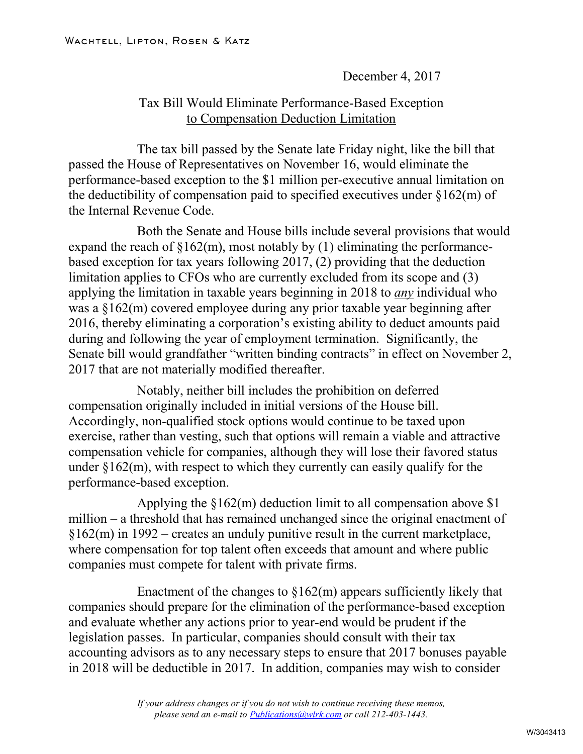December 4, 2017

## Tax Bill Would Eliminate Performance-Based Exception to Compensation Deduction Limitation

The tax bill passed by the Senate late Friday night, like the bill that passed the House of Representatives on November 16, would eliminate the performance-based exception to the \$1 million per-executive annual limitation on the deductibility of compensation paid to specified executives under §162(m) of the Internal Revenue Code.

Both the Senate and House bills include several provisions that would expand the reach of  $$162(m)$ , most notably by (1) eliminating the performancebased exception for tax years following 2017, (2) providing that the deduction limitation applies to CFOs who are currently excluded from its scope and (3) applying the limitation in taxable years beginning in 2018 to *any* individual who was a §162(m) covered employee during any prior taxable year beginning after 2016, thereby eliminating a corporation's existing ability to deduct amounts paid during and following the year of employment termination. Significantly, the Senate bill would grandfather "written binding contracts" in effect on November 2, 2017 that are not materially modified thereafter.

Notably, neither bill includes the prohibition on deferred compensation originally included in initial versions of the House bill. Accordingly, non-qualified stock options would continue to be taxed upon exercise, rather than vesting, such that options will remain a viable and attractive compensation vehicle for companies, although they will lose their favored status under  $\S162(m)$ , with respect to which they currently can easily qualify for the performance-based exception.

Applying the  $\delta$ 162(m) deduction limit to all compensation above \$1 million – a threshold that has remained unchanged since the original enactment of §162(m) in 1992 – creates an unduly punitive result in the current marketplace, where compensation for top talent often exceeds that amount and where public companies must compete for talent with private firms.

Enactment of the changes to  $$162(m)$  appears sufficiently likely that companies should prepare for the elimination of the performance-based exception and evaluate whether any actions prior to year-end would be prudent if the legislation passes. In particular, companies should consult with their tax accounting advisors as to any necessary steps to ensure that 2017 bonuses payable in 2018 will be deductible in 2017. In addition, companies may wish to consider

> *If your address changes or if you do not wish to continue receiving these memos, please send an e-mail to [Publications@wlrk.com](mailto:Publications@wlrk.com) or call 212-403-1443.*